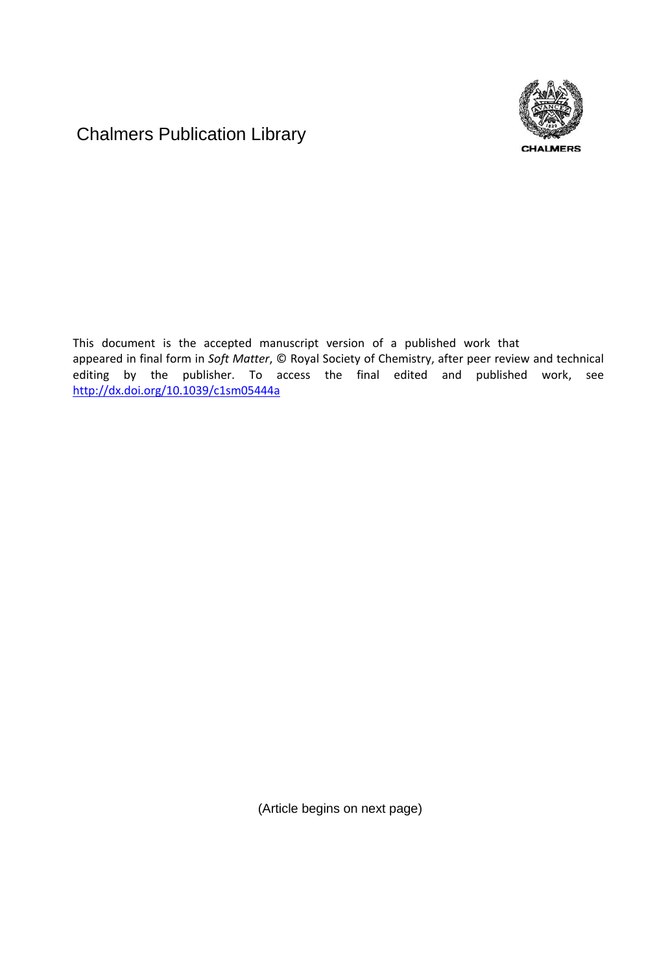# Chalmers Publication Library



This document is the accepted manuscript version of a published work that appeared in final form in *Soft Matter*, © Royal Society of Chemistry, after peer review and technical editing by the publisher. To access the final edited and published work, see <http://dx.doi.org/10.1039/c1sm05444a>

(Article begins on next page)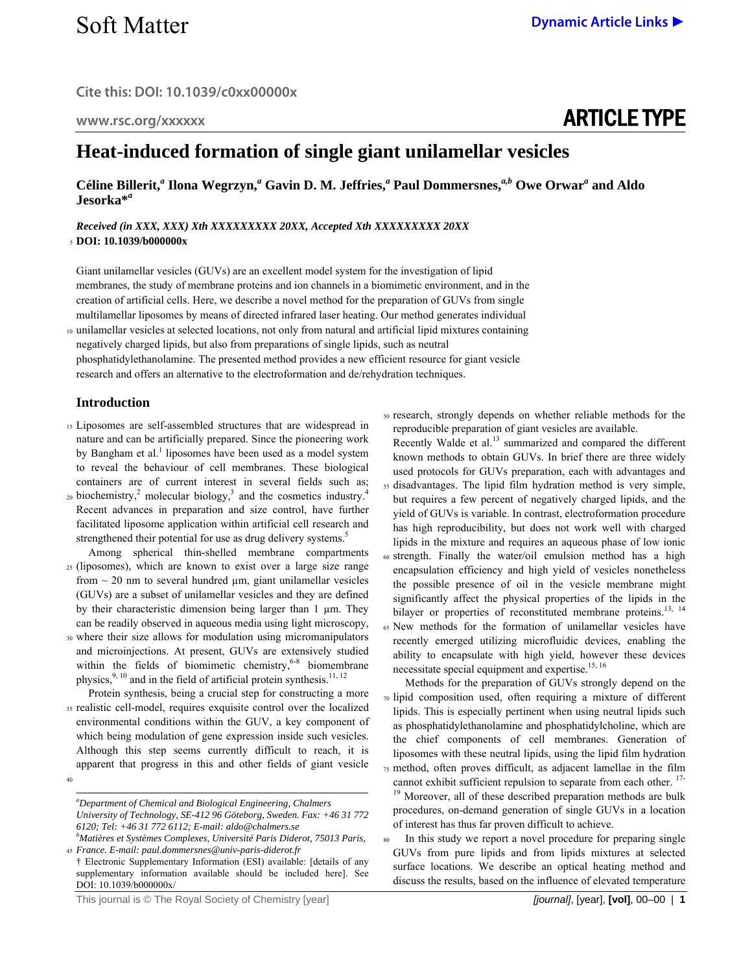**www.rsc.org/xxxxxx** 

# ARTICLE TYPE

# **Heat-induced formation of single giant unilamellar vesicles**

Céline Billerit,<sup>*a*</sup> Ilona Wegrzyn,<sup>*a*</sup> Gavin D. M. Jeffries,<sup>*a*</sup> Paul Dommersnes,<sup>*a,b*</sup> Owe Orwar<sup>*a*</sup> and Aldo **Jesorka\****<sup>a</sup>*

*Received (in XXX, XXX) Xth XXXXXXXXX 20XX, Accepted Xth XXXXXXXXX 20XX*  <sup>5</sup>**DOI: 10.1039/b000000x** 

Giant unilamellar vesicles (GUVs) are an excellent model system for the investigation of lipid membranes, the study of membrane proteins and ion channels in a biomimetic environment, and in the creation of artificial cells. Here, we describe a novel method for the preparation of GUVs from single multilamellar liposomes by means of directed infrared laser heating. Our method generates individual 10 unilamellar vesicles at selected locations, not only from natural and artificial lipid mixtures containing

negatively charged lipids, but also from preparations of single lipids, such as neutral phosphatidylethanolamine. The presented method provides a new efficient resource for giant vesicle research and offers an alternative to the electroformation and de/rehydration techniques.

# **Introduction**

- 15 Liposomes are self-assembled structures that are widespread in nature and can be artificially prepared. Since the pioneering work by Bangham et al. $<sup>1</sup>$  liposomes have been used as a model system</sup> to reveal the behaviour of cell membranes. These biological containers are of current interest in several fields such as;
- 20 biochemistry,<sup>2</sup> molecular biology,<sup>3</sup> and the cosmetics industry.<sup>4</sup> Recent advances in preparation and size control, have further facilitated liposome application within artificial cell research and strengthened their potential for use as drug delivery systems.<sup>5</sup>
- Among spherical thin-shelled membrane compartments 25 (liposomes), which are known to exist over a large size range from  $\sim$  20 nm to several hundred  $\mu$ m, giant unilamellar vesicles (GUVs) are a subset of unilamellar vesicles and they are defined by their characteristic dimension being larger than 1  $\mu$ m. They can be readily observed in aqueous media using light microscopy,
- 30 where their size allows for modulation using micromanipulators and microinjections. At present, GUVs are extensively studied within the fields of biomimetic chemistry, $6-8$  biomembrane physics,  $9, 10$  and in the field of artificial protein synthesis.<sup>11, 12</sup>

 Protein synthesis, being a crucial step for constructing a more 35 realistic cell-model, requires exquisite control over the localized environmental conditions within the GUV, a key component of which being modulation of gene expression inside such vesicles. Although this step seems currently difficult to reach, it is apparent that progress in this and other fields of giant vesicle

Recently Walde et al.<sup>13</sup> summarized and compared the different known methods to obtain GUVs. In brief there are three widely used protocols for GUVs preparation, each with advantages and

55 disadvantages. The lipid film hydration method is very simple, but requires a few percent of negatively charged lipids, and the yield of GUVs is variable. In contrast, electroformation procedure has high reproducibility, but does not work well with charged lipids in the mixture and requires an aqueous phase of low ionic

60 strength. Finally the water/oil emulsion method has a high encapsulation efficiency and high yield of vesicles nonetheless the possible presence of oil in the vesicle membrane might significantly affect the physical properties of the lipids in the bilayer or properties of reconstituted membrane proteins.<sup>13, 14</sup>

65 New methods for the formation of unilamellar vesicles have recently emerged utilizing microfluidic devices, enabling the ability to encapsulate with high yield, however these devices necessitate special equipment and expertise.<sup>15, 16</sup>

 Methods for the preparation of GUVs strongly depend on the 70 lipid composition used, often requiring a mixture of different lipids. This is especially pertinent when using neutral lipids such as phosphatidylethanolamine and phosphatidylcholine, which are the chief components of cell membranes. Generation of liposomes with these neutral lipids, using the lipid film hydration 75 method, often proves difficult, as adjacent lamellae in the film

cannot exhibit sufficient repulsion to separate from each other. <sup>17-</sup> <sup>19</sup> Moreover, all of these described preparation methods are bulk

procedures, on-demand generation of single GUVs in a location of interest has thus far proven difficult to achieve.

80 In this study we report a novel procedure for preparing single GUVs from pure lipids and from lipids mixtures at selected surface locations. We describe an optical heating method and discuss the results, based on the influence of elevated temperature

<sup>40</sup> 

*a Department of Chemical and Biological Engineering, Chalmers University of Technology, SE-412 96 Göteborg, Sweden. Fax: +46 31 772 6120; Tel: +46 31 772 6112; E-mail: aldo@chalmers.se* 

*b Matières et Systèmes Complexes, Université Paris Diderot, 75013 Paris,*  <sup>45</sup>*France. E-mail: paul.dommersnes@univ-paris-diderot.fr* 

<sup>†</sup> Electronic Supplementary Information (ESI) available: [details of any supplementary information available should be included here]. See DOI: 10.1039/b0000000x/

<sup>50</sup> research, strongly depends on whether reliable methods for the reproducible preparation of giant vesicles are available.

This journal is © The Royal Society of Chemistry [year] *[journal]*, [year], **[vol]**, 00–00 | **1**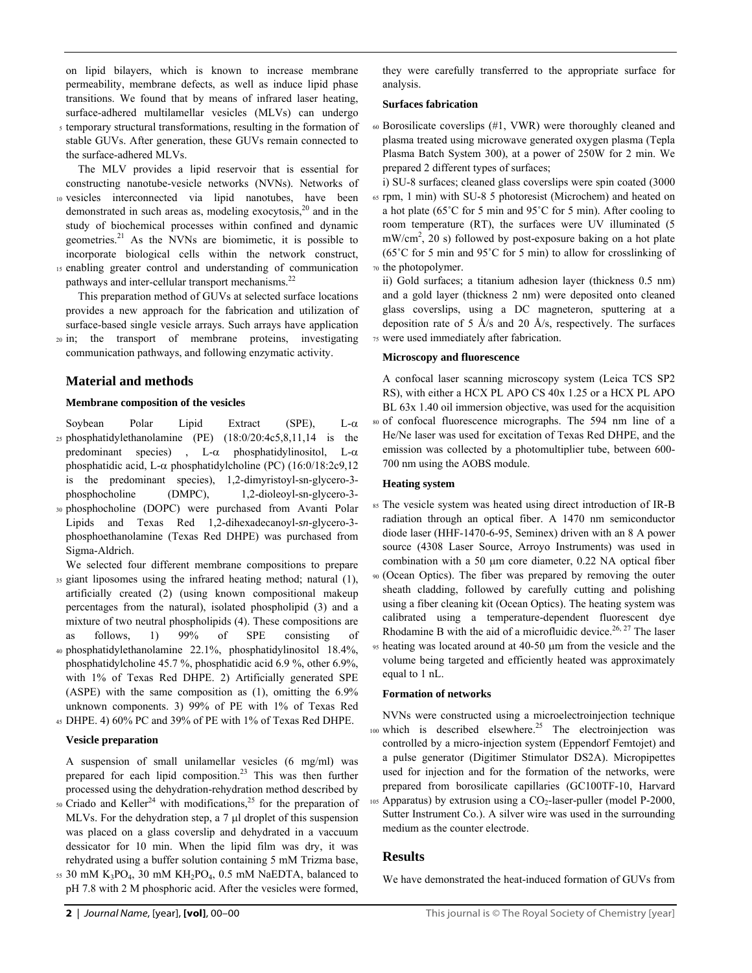on lipid bilayers, which is known to increase membrane permeability, membrane defects, as well as induce lipid phase transitions. We found that by means of infrared laser heating, surface-adhered multilamellar vesicles (MLVs) can undergo 5 temporary structural transformations, resulting in the formation of

stable GUVs. After generation, these GUVs remain connected to the surface-adhered MLVs.

 The MLV provides a lipid reservoir that is essential for constructing nanotube-vesicle networks (NVNs). Networks of

10 vesicles interconnected via lipid nanotubes, have been demonstrated in such areas as, modeling exocytosis,<sup>20</sup> and in the study of biochemical processes within confined and dynamic geometries. $21$  As the NVNs are biomimetic, it is possible to incorporate biological cells within the network construct, 15 enabling greater control and understanding of communication

pathways and inter-cellular transport mechanisms.<sup>22</sup> This preparation method of GUVs at selected surface locations

provides a new approach for the fabrication and utilization of surface-based single vesicle arrays. Such arrays have application

20 in; the transport of membrane proteins, investigating communication pathways, and following enzymatic activity.

# **Material and methods**

#### **Membrane composition of the vesicles**

- Soybean Polar Lipid Extract (SPE),  $L-\alpha$ 25 phosphatidylethanolamine (PE) (18:0/20:4c5,8,11,14 is the predominant species), L- $\alpha$  phosphatidylinositol, L- $\alpha$ phosphatidic acid, L- $\alpha$  phosphatidylcholine (PC) (16:0/18:2c9,12 is the predominant species), 1,2-dimyristoyl-sn-glycero-3 phosphocholine (DMPC), 1,2-dioleoyl-sn-glycero-3-
- 30 phosphocholine (DOPC) were purchased from Avanti Polar Lipids and Texas Red 1,2-dihexadecanoyl-*sn*-glycero-3 phosphoethanolamine (Texas Red DHPE) was purchased from Sigma-Aldrich.
- We selected four different membrane compositions to prepare 35 giant liposomes using the infrared heating method; natural (1), artificially created (2) (using known compositional makeup percentages from the natural), isolated phospholipid (3) and a mixture of two neutral phospholipids (4). These compositions are
- as follows, 1) 99% of SPE consisting of 40 phosphatidylethanolamine 22.1%, phosphatidylinositol 18.4%, phosphatidylcholine 45.7 %, phosphatidic acid 6.9 %, other 6.9%, with 1% of Texas Red DHPE. 2) Artificially generated SPE (ASPE) with the same composition as (1), omitting the 6.9% unknown components. 3) 99% of PE with 1% of Texas Red 45 DHPE. 4) 60% PC and 39% of PE with 1% of Texas Red DHPE.
- 

# **Vesicle preparation**

A suspension of small unilamellar vesicles (6 mg/ml) was prepared for each lipid composition.<sup>23</sup> This was then further processed using the dehydration-rehydration method described by

- $50$  Criado and Keller<sup>24</sup> with modifications,<sup>25</sup> for the preparation of MLVs. For the dehydration step, a 7 µl droplet of this suspension was placed on a glass coverslip and dehydrated in a vaccuum dessicator for 10 min. When the lipid film was dry, it was rehydrated using a buffer solution containing 5 mM Trizma base,  $55$  30 mM K<sub>3</sub>PO<sub>4</sub>, 30 mM KH<sub>2</sub>PO<sub>4</sub>, 0.5 mM NaEDTA, balanced to
- pH 7.8 with 2 M phosphoric acid. After the vesicles were formed,

they were carefully transferred to the appropriate surface for analysis.

#### **Surfaces fabrication**

- 60 Borosilicate coverslips (#1, VWR) were thoroughly cleaned and plasma treated using microwave generated oxygen plasma (Tepla Plasma Batch System 300), at a power of 250W for 2 min. We prepared 2 different types of surfaces;
- i) SU-8 surfaces; cleaned glass coverslips were spin coated (3000 65 rpm, 1 min) with SU-8 5 photoresist (Microchem) and heated on a hot plate (65˚C for 5 min and 95˚C for 5 min). After cooling to room temperature (RT), the surfaces were UV illuminated (5  $mW/cm<sup>2</sup>$ , 20 s) followed by post-exposure baking on a hot plate (65˚C for 5 min and 95˚C for 5 min) to allow for crosslinking of 70 the photopolymer.

ii) Gold surfaces; a titanium adhesion layer (thickness 0.5 nm) and a gold layer (thickness 2 nm) were deposited onto cleaned glass coverslips, using a DC magneteron, sputtering at a deposition rate of 5 Å/s and 20 Å/s, respectively. The surfaces 75 were used immediately after fabrication.

#### **Microscopy and fluorescence**

A confocal laser scanning microscopy system (Leica TCS SP2 RS), with either a HCX PL APO CS 40x 1.25 or a HCX PL APO BL 63x 1.40 oil immersion objective, was used for the acquisition 80 of confocal fluorescence micrographs. The 594 nm line of a He/Ne laser was used for excitation of Texas Red DHPE, and the emission was collected by a photomultiplier tube, between 600- 700 nm using the AOBS module.

# **Heating system**

- 85 The vesicle system was heated using direct introduction of IR-B radiation through an optical fiber. A 1470 nm semiconductor diode laser (HHF-1470-6-95, Seminex) driven with an 8 A power source (4308 Laser Source, Arroyo Instruments) was used in combination with a 50  $\mu$ m core diameter, 0.22 NA optical fiber
- 90 (Ocean Optics). The fiber was prepared by removing the outer sheath cladding, followed by carefully cutting and polishing using a fiber cleaning kit (Ocean Optics). The heating system was calibrated using a temperature-dependent fluorescent dye Rhodamine B with the aid of a microfluidic device.<sup>26, 27</sup> The laser
- 95 heating was located around at 40-50 m from the vesicle and the volume being targeted and efficiently heated was approximately equal to 1 nL.

# **Formation of networks**

- NVNs were constructed using a microelectroinjection technique  $_{100}$  which is described elsewhere.<sup>25</sup> The electroinjection was controlled by a micro-injection system (Eppendorf Femtojet) and a pulse generator (Digitimer Stimulator DS2A). Micropipettes used for injection and for the formation of the networks, were prepared from borosilicate capillaries (GC100TF-10, Harvard Apparatus) by extrusion using a  $CO<sub>2</sub>$ -laser-puller (model P-2000,
- Sutter Instrument Co.). A silver wire was used in the surrounding medium as the counter electrode.

# **Results**

We have demonstrated the heat-induced formation of GUVs from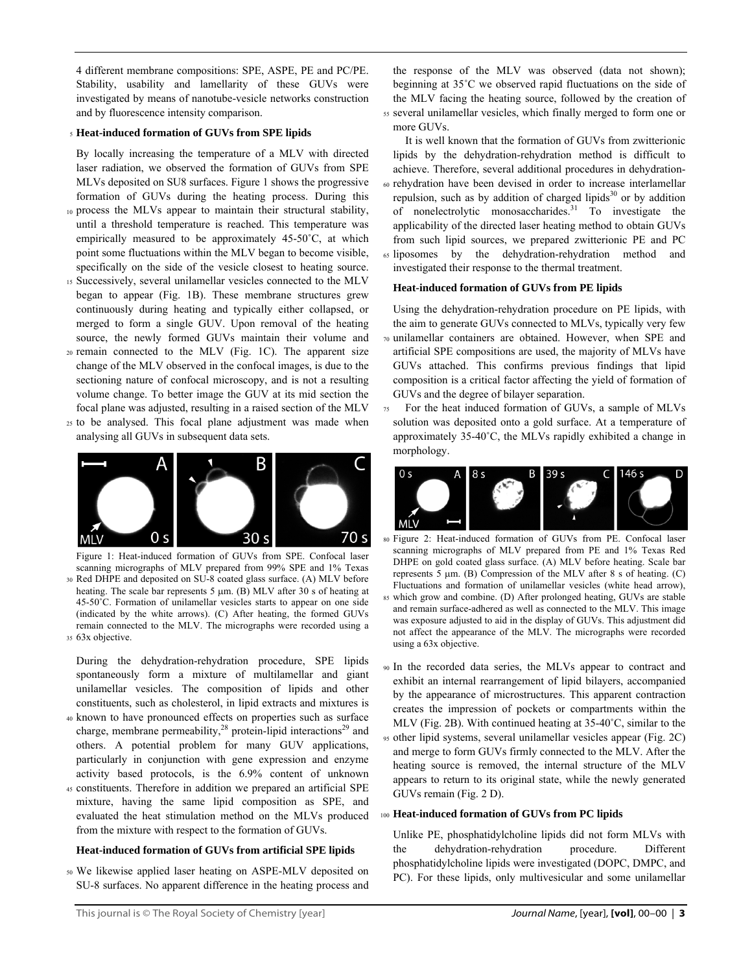4 different membrane compositions: SPE, ASPE, PE and PC/PE. Stability, usability and lamellarity of these GUVs were investigated by means of nanotube-vesicle networks construction and by fluorescence intensity comparison.

#### <sup>5</sup>**Heat-induced formation of GUVs from SPE lipids**

By locally increasing the temperature of a MLV with directed laser radiation, we observed the formation of GUVs from SPE MLVs deposited on SU8 surfaces. Figure 1 shows the progressive formation of GUVs during the heating process. During this

- 10 process the MLVs appear to maintain their structural stability, until a threshold temperature is reached. This temperature was empirically measured to be approximately 45-50˚C, at which point some fluctuations within the MLV began to become visible, specifically on the side of the vesicle closest to heating source.
- 15 Successively, several unilamellar vesicles connected to the MLV began to appear (Fig. 1B). These membrane structures grew continuously during heating and typically either collapsed, or merged to form a single GUV. Upon removal of the heating source, the newly formed GUVs maintain their volume and
- 20 remain connected to the MLV (Fig. 1C). The apparent size change of the MLV observed in the confocal images, is due to the sectioning nature of confocal microscopy, and is not a resulting volume change. To better image the GUV at its mid section the focal plane was adjusted, resulting in a raised section of the MLV
- 25 to be analysed. This focal plane adjustment was made when analysing all GUVs in subsequent data sets.



Figure 1: Heat-induced formation of GUVs from SPE. Confocal laser scanning micrographs of MLV prepared from 99% SPE and 1% Texas 30 Red DHPE and deposited on SU-8 coated glass surface. (A) MLV before heating. The scale bar represents 5 µm. (B) MLV after 30 s of heating at 45-50˚C. Formation of unilamellar vesicles starts to appear on one side (indicated by the white arrows). (C) After heating, the formed GUVs remain connected to the MLV. The micrographs were recorded using a 35 63x objective.

During the dehydration-rehydration procedure, SPE lipids spontaneously form a mixture of multilamellar and giant unilamellar vesicles. The composition of lipids and other constituents, such as cholesterol, in lipid extracts and mixtures is

- 40 known to have pronounced effects on properties such as surface charge, membrane permeability, $^{28}$  protein-lipid interactions<sup>29</sup> and others. A potential problem for many GUV applications, particularly in conjunction with gene expression and enzyme activity based protocols, is the 6.9% content of unknown
- 45 constituents. Therefore in addition we prepared an artificial SPE mixture, having the same lipid composition as SPE, and evaluated the heat stimulation method on the MLVs produced from the mixture with respect to the formation of GUVs.

# **Heat-induced formation of GUVs from artificial SPE lipids**

50 We likewise applied laser heating on ASPE-MLV deposited on SU-8 surfaces. No apparent difference in the heating process and

the response of the MLV was observed (data not shown); beginning at 35˚C we observed rapid fluctuations on the side of the MLV facing the heating source, followed by the creation of 55 several unilamellar vesicles, which finally merged to form one or more GUVs.

 It is well known that the formation of GUVs from zwitterionic lipids by the dehydration-rehydration method is difficult to achieve. Therefore, several additional procedures in dehydration-60 rehydration have been devised in order to increase interlamellar repulsion, such as by addition of charged lipids $30$  or by addition of nonelectrolytic monosaccharides. $31$  To investigate the applicability of the directed laser heating method to obtain GUVs from such lipid sources, we prepared zwitterionic PE and PC 65 liposomes by the dehydration-rehydration method and investigated their response to the thermal treatment.

#### **Heat-induced formation of GUVs from PE lipids**

Using the dehydration-rehydration procedure on PE lipids, with the aim to generate GUVs connected to MLVs, typically very few 70 unilamellar containers are obtained. However, when SPE and artificial SPE compositions are used, the majority of MLVs have GUVs attached. This confirms previous findings that lipid composition is a critical factor affecting the yield of formation of GUVs and the degree of bilayer separation.

75 For the heat induced formation of GUVs, a sample of MLVs solution was deposited onto a gold surface. At a temperature of approximately 35-40˚C, the MLVs rapidly exhibited a change in morphology.



- 80 Figure 2: Heat-induced formation of GUVs from PE. Confocal laser scanning micrographs of MLV prepared from PE and 1% Texas Red DHPE on gold coated glass surface. (A) MLV before heating. Scale bar represents  $5 \mu m$ . (B) Compression of the MLV after 8 s of heating. (C) Fluctuations and formation of unilamellar vesicles (white head arrow), 85 which grow and combine. (D) After prolonged heating, GUVs are stable and remain surface-adhered as well as connected to the MLV. This image was exposure adjusted to aid in the display of GUVs. This adjustment did not affect the appearance of the MLV. The micrographs were recorded using a 63x objective.
- 90 In the recorded data series, the MLVs appear to contract and exhibit an internal rearrangement of lipid bilayers, accompanied by the appearance of microstructures. This apparent contraction creates the impression of pockets or compartments within the MLV (Fig. 2B). With continued heating at 35-40˚C, similar to the
- 95 other lipid systems, several unilamellar vesicles appear (Fig. 2C) and merge to form GUVs firmly connected to the MLV. After the heating source is removed, the internal structure of the MLV appears to return to its original state, while the newly generated GUVs remain (Fig. 2 D).

# <sup>100</sup>**Heat-induced formation of GUVs from PC lipids**

Unlike PE, phosphatidylcholine lipids did not form MLVs with the dehydration-rehydration procedure. Different phosphatidylcholine lipids were investigated (DOPC, DMPC, and PC). For these lipids, only multivesicular and some unilamellar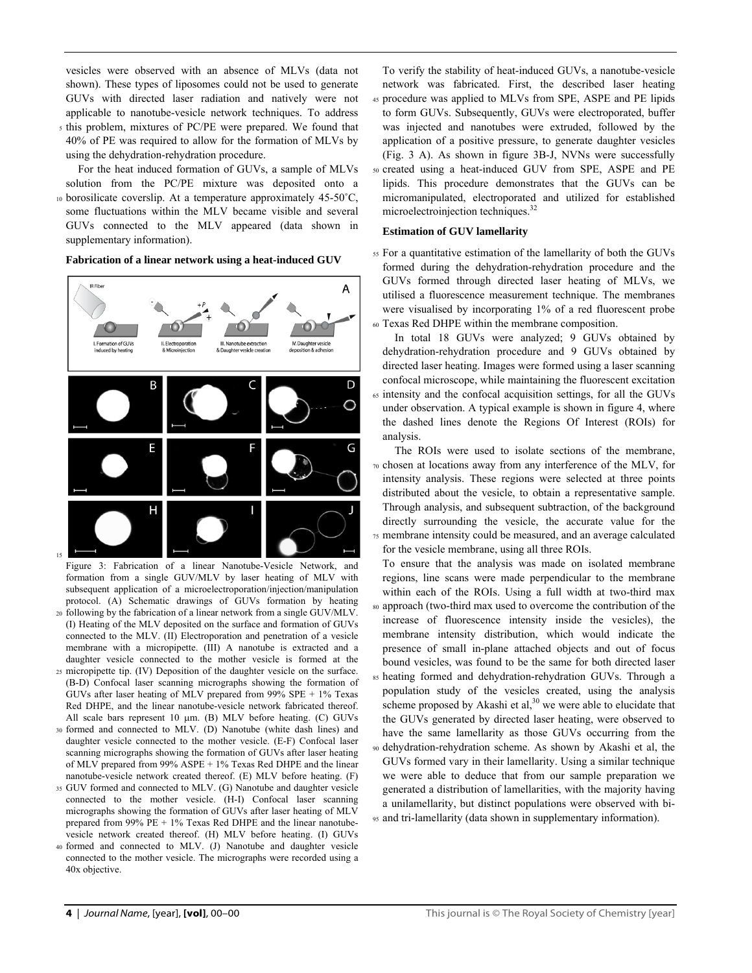vesicles were observed with an absence of MLVs (data not shown). These types of liposomes could not be used to generate GUVs with directed laser radiation and natively were not applicable to nanotube-vesicle network techniques. To address 5 this problem, mixtures of PC/PE were prepared. We found that 40% of PE was required to allow for the formation of MLVs by using the dehydration-rehydration procedure.

 For the heat induced formation of GUVs, a sample of MLVs solution from the PC/PE mixture was deposited onto a

10 borosilicate coverslip. At a temperature approximately 45-50˚C, some fluctuations within the MLV became visible and several GUVs connected to the MLV appeared (data shown in supplementary information).

#### **Fabrication of a linear network using a heat-induced GUV**



Figure 3: Fabrication of a linear Nanotube-Vesicle Network, and formation from a single GUV/MLV by laser heating of MLV with subsequent application of a microelectroporation/injection/manipulation protocol. (A) Schematic drawings of GUVs formation by heating 20 following by the fabrication of a linear network from a single GUV/MLV.

- (I) Heating of the MLV deposited on the surface and formation of GUVs connected to the MLV. (II) Electroporation and penetration of a vesicle membrane with a micropipette. (III) A nanotube is extracted and a daughter vesicle connected to the mother vesicle is formed at the 25 micropipette tip. (IV) Deposition of the daughter vesicle on the surface.
- (B-D) Confocal laser scanning micrographs showing the formation of GUVs after laser heating of MLV prepared from 99% SPE + 1% Texas Red DHPE, and the linear nanotube-vesicle network fabricated thereof. All scale bars represent 10  $\mu$ m. (B) MLV before heating. (C) GUVs
- 30 formed and connected to MLV. (D) Nanotube (white dash lines) and daughter vesicle connected to the mother vesicle. (E-F) Confocal laser scanning micrographs showing the formation of GUVs after laser heating of MLV prepared from 99% ASPE + 1% Texas Red DHPE and the linear nanotube-vesicle network created thereof. (E) MLV before heating. (F)
- 35 GUV formed and connected to MLV. (G) Nanotube and daughter vesicle connected to the mother vesicle. (H-I) Confocal laser scanning micrographs showing the formation of GUVs after laser heating of MLV prepared from 99% PE + 1% Texas Red DHPE and the linear nanotubevesicle network created thereof. (H) MLV before heating. (I) GUVs
- 40 formed and connected to MLV. (J) Nanotube and daughter vesicle connected to the mother vesicle. The micrographs were recorded using a 40x objective.

To verify the stability of heat-induced GUVs, a nanotube-vesicle network was fabricated. First, the described laser heating 45 procedure was applied to MLVs from SPE, ASPE and PE lipids to form GUVs. Subsequently, GUVs were electroporated, buffer was injected and nanotubes were extruded, followed by the application of a positive pressure, to generate daughter vesicles (Fig. 3 A). As shown in figure 3B-J, NVNs were successfully 50 created using a heat-induced GUV from SPE, ASPE and PE lipids. This procedure demonstrates that the GUVs can be

micromanipulated, electroporated and utilized for established microelectroinjection techniques.<sup>32</sup>

# **Estimation of GUV lamellarity**

55 For a quantitative estimation of the lamellarity of both the GUVs formed during the dehydration-rehydration procedure and the GUVs formed through directed laser heating of MLVs, we utilised a fluorescence measurement technique. The membranes were visualised by incorporating 1% of a red fluorescent probe 60 Texas Red DHPE within the membrane composition.

 In total 18 GUVs were analyzed; 9 GUVs obtained by dehydration-rehydration procedure and 9 GUVs obtained by directed laser heating. Images were formed using a laser scanning confocal microscope, while maintaining the fluorescent excitation 65 intensity and the confocal acquisition settings, for all the GUVs under observation. A typical example is shown in figure 4, where the dashed lines denote the Regions Of Interest (ROIs) for analysis.

 The ROIs were used to isolate sections of the membrane, 70 chosen at locations away from any interference of the MLV, for intensity analysis. These regions were selected at three points distributed about the vesicle, to obtain a representative sample. Through analysis, and subsequent subtraction, of the background directly surrounding the vesicle, the accurate value for the 75 membrane intensity could be measured, and an average calculated for the vesicle membrane, using all three ROIs.

To ensure that the analysis was made on isolated membrane regions, line scans were made perpendicular to the membrane within each of the ROIs. Using a full width at two-third max

- 80 approach (two-third max used to overcome the contribution of the increase of fluorescence intensity inside the vesicles), the membrane intensity distribution, which would indicate the presence of small in-plane attached objects and out of focus bound vesicles, was found to be the same for both directed laser
- 85 heating formed and dehydration-rehydration GUVs. Through a population study of the vesicles created, using the analysis scheme proposed by Akashi et al,  $30$  we were able to elucidate that the GUVs generated by directed laser heating, were observed to have the same lamellarity as those GUVs occurring from the
- 90 dehydration-rehydration scheme. As shown by Akashi et al, the GUVs formed vary in their lamellarity. Using a similar technique we were able to deduce that from our sample preparation we generated a distribution of lamellarities, with the majority having a unilamellarity, but distinct populations were observed with bi-95 and tri-lamellarity (data shown in supplementary information).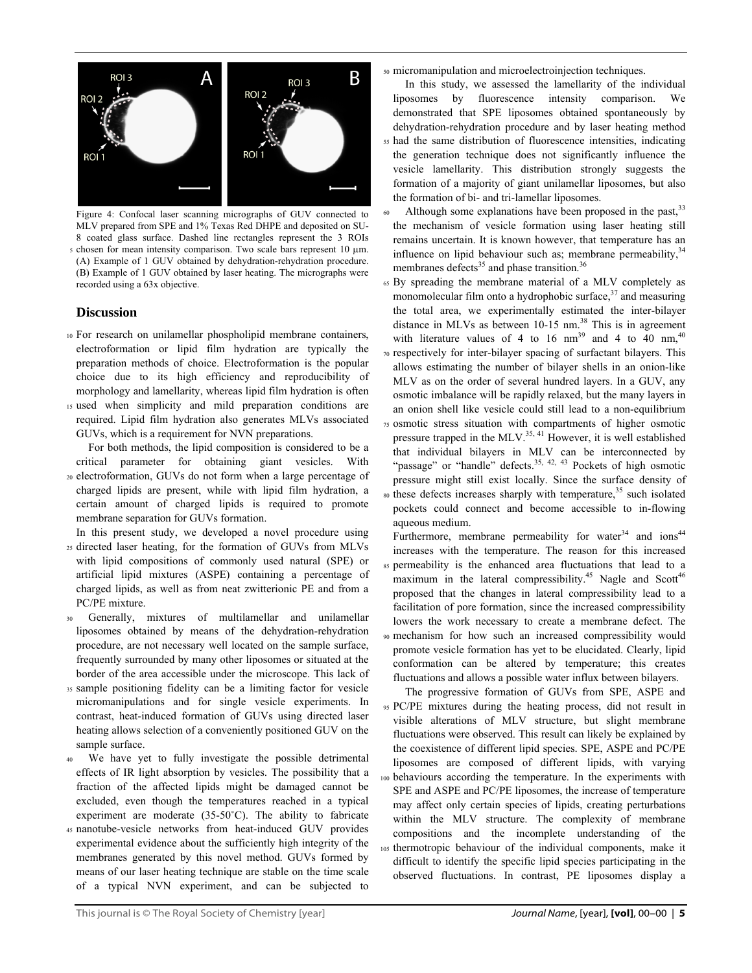

Figure 4: Confocal laser scanning micrographs of GUV connected to MLV prepared from SPE and 1% Texas Red DHPE and deposited on SU-8 coated glass surface. Dashed line rectangles represent the 3 ROIs 5 chosen for mean intensity comparison. Two scale bars represent 10  $\mu$ m. (A) Example of 1 GUV obtained by dehydration-rehydration procedure. (B) Example of 1 GUV obtained by laser heating. The micrographs were recorded using a 63x objective.

# **Discussion**

- 10 For research on unilamellar phospholipid membrane containers, electroformation or lipid film hydration are typically the preparation methods of choice. Electroformation is the popular choice due to its high efficiency and reproducibility of morphology and lamellarity, whereas lipid film hydration is often
- 15 used when simplicity and mild preparation conditions are required. Lipid film hydration also generates MLVs associated GUVs, which is a requirement for NVN preparations.

 For both methods, the lipid composition is considered to be a critical parameter for obtaining giant vesicles. With

20 electroformation, GUVs do not form when a large percentage of charged lipids are present, while with lipid film hydration, a certain amount of charged lipids is required to promote membrane separation for GUVs formation.

In this present study, we developed a novel procedure using 25 directed laser heating, for the formation of GUVs from MLVs with lipid compositions of commonly used natural (SPE) or artificial lipid mixtures (ASPE) containing a percentage of charged lipids, as well as from neat zwitterionic PE and from a PC/PE mixture.

- 30 Generally, mixtures of multilamellar and unilamellar liposomes obtained by means of the dehydration-rehydration procedure, are not necessary well located on the sample surface, frequently surrounded by many other liposomes or situated at the border of the area accessible under the microscope. This lack of
- 35 sample positioning fidelity can be a limiting factor for vesicle micromanipulations and for single vesicle experiments. In contrast, heat-induced formation of GUVs using directed laser heating allows selection of a conveniently positioned GUV on the sample surface.
- We have yet to fully investigate the possible detrimental effects of IR light absorption by vesicles. The possibility that a fraction of the affected lipids might be damaged cannot be excluded, even though the temperatures reached in a typical experiment are moderate (35-50˚C). The ability to fabricate
- 45 nanotube-vesicle networks from heat-induced GUV provides experimental evidence about the sufficiently high integrity of the membranes generated by this novel method. GUVs formed by means of our laser heating technique are stable on the time scale of a typical NVN experiment, and can be subjected to

50 micromanipulation and microelectroinjection techniques.

 In this study, we assessed the lamellarity of the individual liposomes by fluorescence intensity comparison. We demonstrated that SPE liposomes obtained spontaneously by dehydration-rehydration procedure and by laser heating method 55 had the same distribution of fluorescence intensities, indicating the generation technique does not significantly influence the vesicle lamellarity. This distribution strongly suggests the formation of a majority of giant unilamellar liposomes, but also the formation of bi- and tri-lamellar liposomes.

60 Although some explanations have been proposed in the past,<sup>33</sup> the mechanism of vesicle formation using laser heating still remains uncertain. It is known however, that temperature has an influence on lipid behaviour such as; membrane permeability,  $34$ membranes defects<sup>35</sup> and phase transition.<sup>36</sup>

65 By spreading the membrane material of a MLV completely as monomolecular film onto a hydrophobic surface, $37$  and measuring the total area, we experimentally estimated the inter-bilayer distance in MLVs as between 10-15 nm.<sup>38</sup> This is in agreement with literature values of 4 to 16  $nm^{39}$  and 4 to 40  $nm$ ,<sup>40</sup> 70 respectively for inter-bilayer spacing of surfactant bilayers. This allows estimating the number of bilayer shells in an onion-like MLV as on the order of several hundred layers. In a GUV, any osmotic imbalance will be rapidly relaxed, but the many layers in an onion shell like vesicle could still lead to a non-equilibrium 75 osmotic stress situation with compartments of higher osmotic pressure trapped in the MLV.<sup>35, 41</sup> However, it is well established that individual bilayers in MLV can be interconnected by "passage" or "handle" defects.<sup>35, 42, 43</sup> Pockets of high osmotic pressure might still exist locally. Since the surface density of  $\delta$  these defects increases sharply with temperature,  $35$  such isolated pockets could connect and become accessible to in-flowing aqueous medium.

Furthermore, membrane permeability for water<sup>34</sup> and ions<sup>44</sup> increases with the temperature. The reason for this increased 85 permeability is the enhanced area fluctuations that lead to a maximum in the lateral compressibility.<sup>45</sup> Nagle and Scott<sup>46</sup> proposed that the changes in lateral compressibility lead to a facilitation of pore formation, since the increased compressibility lowers the work necessary to create a membrane defect. The 90 mechanism for how such an increased compressibility would promote vesicle formation has yet to be elucidated. Clearly, lipid conformation can be altered by temperature; this creates fluctuations and allows a possible water influx between bilayers.

 The progressive formation of GUVs from SPE, ASPE and 95 PC/PE mixtures during the heating process, did not result in visible alterations of MLV structure, but slight membrane fluctuations were observed. This result can likely be explained by the coexistence of different lipid species. SPE, ASPE and PC/PE liposomes are composed of different lipids, with varying 100 behaviours according the temperature. In the experiments with SPE and ASPE and PC/PE liposomes, the increase of temperature may affect only certain species of lipids, creating perturbations within the MLV structure. The complexity of membrane compositions and the incomplete understanding of the 105 thermotropic behaviour of the individual components, make it difficult to identify the specific lipid species participating in the observed fluctuations. In contrast, PE liposomes display a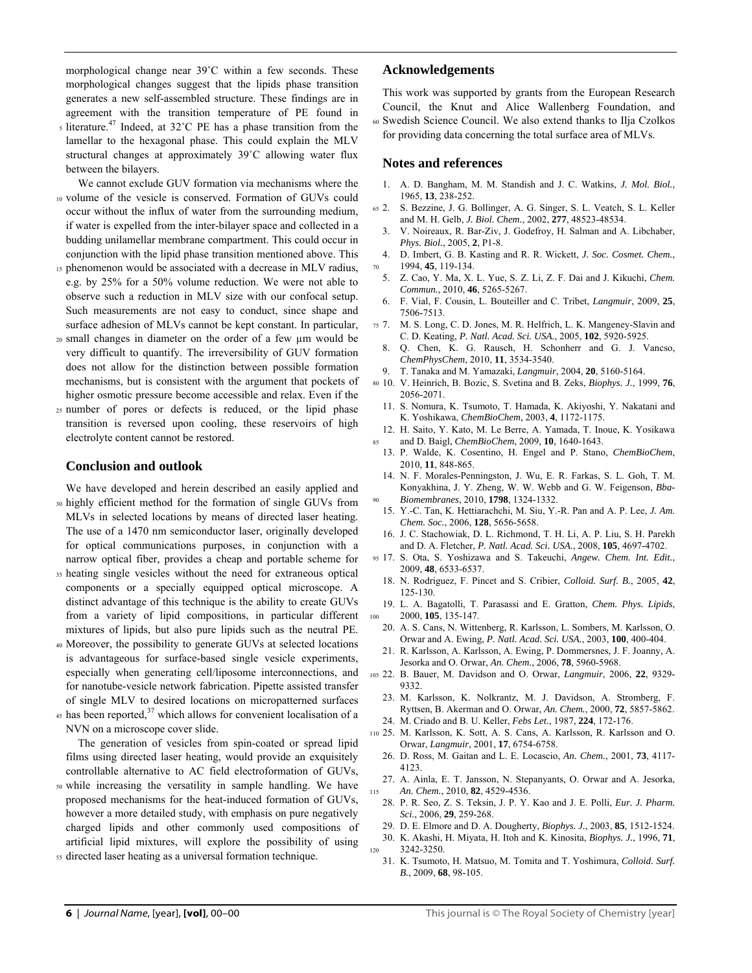morphological change near 39˚C within a few seconds. These morphological changes suggest that the lipids phase transition generates a new self-assembled structure. These findings are in agreement with the transition temperature of PE found in

- $\beta$  literature.<sup>47</sup> Indeed, at 32°C PE has a phase transition from the lamellar to the hexagonal phase. This could explain the MLV structural changes at approximately 39˚C allowing water flux between the bilayers.
- We cannot exclude GUV formation via mechanisms where the 10 volume of the vesicle is conserved. Formation of GUVs could occur without the influx of water from the surrounding medium, if water is expelled from the inter-bilayer space and collected in a budding unilamellar membrane compartment. This could occur in conjunction with the lipid phase transition mentioned above. This
- 15 phenomenon would be associated with a decrease in MLV radius, e.g. by 25% for a 50% volume reduction. We were not able to observe such a reduction in MLV size with our confocal setup. Such measurements are not easy to conduct, since shape and surface adhesion of MLVs cannot be kept constant. In particular,
- 20 small changes in diameter on the order of a few µm would be very difficult to quantify. The irreversibility of GUV formation does not allow for the distinction between possible formation mechanisms, but is consistent with the argument that pockets of higher osmotic pressure become accessible and relax. Even if the
- 25 number of pores or defects is reduced, or the lipid phase transition is reversed upon cooling, these reservoirs of high electrolyte content cannot be restored.

# **Conclusion and outlook**

We have developed and herein described an easily applied and 30 highly efficient method for the formation of single GUVs from MLVs in selected locations by means of directed laser heating. The use of a 1470 nm semiconductor laser, originally developed for optical communications purposes, in conjunction with a narrow optical fiber, provides a cheap and portable scheme for

- 35 heating single vesicles without the need for extraneous optical components or a specially equipped optical microscope. A distinct advantage of this technique is the ability to create GUVs from a variety of lipid compositions, in particular different mixtures of lipids, but also pure lipids such as the neutral PE.
- 40 Moreover, the possibility to generate GUVs at selected locations is advantageous for surface-based single vesicle experiments, especially when generating cell/liposome interconnections, and for nanotube-vesicle network fabrication. Pipette assisted transfer of single MLV to desired locations on micropatterned surfaces
- $45$  has been reported,  $37$  which allows for convenient localisation of a NVN on a microscope cover slide.

 The generation of vesicles from spin-coated or spread lipid films using directed laser heating, would provide an exquisitely controllable alternative to AC field electroformation of GUVs,

- 50 while increasing the versatility in sample handling. We have proposed mechanisms for the heat-induced formation of GUVs, however a more detailed study, with emphasis on pure negatively charged lipids and other commonly used compositions of artificial lipid mixtures, will explore the possibility of using
- 55 directed laser heating as a universal formation technique.

# **Acknowledgements**

This work was supported by grants from the European Research Council, the Knut and Alice Wallenberg Foundation, and 60 Swedish Science Council. We also extend thanks to Ilja Czolkos for providing data concerning the total surface area of MLVs.

#### **Notes and references**

- 1. A. D. Bangham, M. M. Standish and J. C. Watkins, *J. Mol. Biol.*, 1965, **13**, 238-252.
- 65 2. S. Bezzine, J. G. Bollinger, A. G. Singer, S. L. Veatch, S. L. Keller and M. H. Gelb, *J. Biol. Chem.*, 2002, **277**, 48523-48534.
	- 3. V. Noireaux, R. Bar-Ziv, J. Godefroy, H. Salman and A. Libchaber, *Phys. Biol.*, 2005, **2**, P1-8.
- 4. D. Imbert, G. B. Kasting and R. R. Wickett, *J. Soc. Cosmet. Chem.*, 70 1994, **45**, 119-134.
- 5. Z. Cao, Y. Ma, X. L. Yue, S. Z. Li, Z. F. Dai and J. Kikuchi, *Chem. Commun.*, 2010, **46**, 5265-5267.
- 6. F. Vial, F. Cousin, L. Bouteiller and C. Tribet, *Langmuir*, 2009, **25**, 7506-7513.
- 75 7. M. S. Long, C. D. Jones, M. R. Helfrich, L. K. Mangeney-Slavin and C. D. Keating, *P. Natl. Acad. Sci. USA.*, 2005, **102**, 5920-5925.
- 8. Q. Chen, K. G. Rausch, H. Schonherr and G. J. Vancso, *ChemPhysChem*, 2010, **11**, 3534-3540.
- 9. T. Tanaka and M. Yamazaki, *Langmuir*, 2004, **20**, 5160-5164.
- 80 10. V. Heinrich, B. Bozic, S. Svetina and B. Zeks, *Biophys. J.*, 1999, **76**, 2056-2071.
- 11. S. Nomura, K. Tsumoto, T. Hamada, K. Akiyoshi, Y. Nakatani and K. Yoshikawa, *ChemBioChem*, 2003, **4**, 1172-1175.
- 12. H. Saito, Y. Kato, M. Le Berre, A. Yamada, T. Inoue, K. Yosikawa 85 and D. Baigl, *ChemBioChem*, 2009, **10**, 1640-1643.
- 13. P. Walde, K. Cosentino, H. Engel and P. Stano, *ChemBioChem*, 2010, **11**, 848-865.
- 14. N. F. Morales-Penningston, J. Wu, E. R. Farkas, S. L. Goh, T. M. Konyakhina, J. Y. Zheng, W. W. Webb and G. W. Feigenson, *Bba-*<sup>90</sup>*Biomembranes*, 2010, **1798**, 1324-1332.
- 15. Y.-C. Tan, K. Hettiarachchi, M. Siu, Y.-R. Pan and A. P. Lee, *J. Am. Chem. Soc.*, 2006, **128**, 5656-5658.
- 16. J. C. Stachowiak, D. L. Richmond, T. H. Li, A. P. Liu, S. H. Parekh and D. A. Fletcher, *P. Natl. Acad. Sci. USA.*, 2008, **105**, 4697-4702.
- 95 17. S. Ota, S. Yoshizawa and S. Takeuchi, *Angew. Chem. Int. Edit.*, 2009, **48**, 6533-6537.
	- 18. N. Rodriguez, F. Pincet and S. Cribier, *Colloid. Surf. B.*, 2005, **42**, 125-130.
- 19. L. A. Bagatolli, T. Parasassi and E. Gratton, *Chem. Phys. Lipids*, 100 2000, **105**, 135-147.
	- 20. A. S. Cans, N. Wittenberg, R. Karlsson, L. Sombers, M. Karlsson, O. Orwar and A. Ewing, *P. Natl. Acad. Sci. USA.*, 2003, **100**, 400-404.
	- 21. R. Karlsson, A. Karlsson, A. Ewing, P. Dommersnes, J. F. Joanny, A. Jesorka and O. Orwar, *An. Chem.*, 2006, **78**, 5960-5968.
- 105 22. B. Bauer, M. Davidson and O. Orwar, *Langmuir*, 2006, **22**, 9329- 9332.
	- 23. M. Karlsson, K. Nolkrantz, M. J. Davidson, A. Stromberg, F. Ryttsen, B. Akerman and O. Orwar, *An. Chem.*, 2000, **72**, 5857-5862.
	- 24. M. Criado and B. U. Keller, *Febs Let.*, 1987, **224**, 172-176.
- 110 25. M. Karlsson, K. Sott, A. S. Cans, A. Karlsson, R. Karlsson and O. Orwar, *Langmuir*, 2001, **17**, 6754-6758.
	- 26. D. Ross, M. Gaitan and L. E. Locascio, *An. Chem.*, 2001, **73**, 4117- 4123.
- 27. A. Ainla, E. T. Jansson, N. Stepanyants, O. Orwar and A. Jesorka, <sup>115</sup>*An. Chem.*, 2010, **82**, 4529-4536.
	- 28. P. R. Seo, Z. S. Teksin, J. P. Y. Kao and J. E. Polli, *Eur. J. Pharm. Sci.*, 2006, **29**, 259-268.
	- 29. D. E. Elmore and D. A. Dougherty, *Biophys. J.*, 2003, **85**, 1512-1524.
- 30. K. Akashi, H. Miyata, H. Itoh and K. Kinosita, *Biophys. J.*, 1996, **71**, 120 3242-3250.
	- 31. K. Tsumoto, H. Matsuo, M. Tomita and T. Yoshimura, *Colloid. Surf. B.*, 2009, **68**, 98-105.